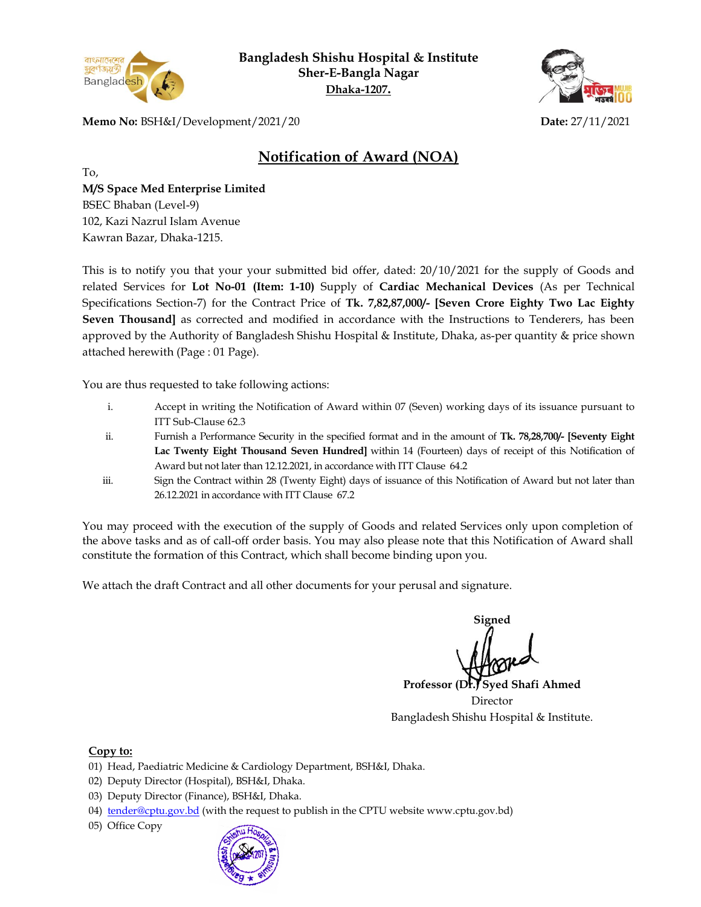

**Bangladesh Shishu Hospital & Institute Sher-E-Bangla Nagar Dhaka-1207.**



**Memo No:** BSH&I/Development/2021/20 **Date:** 27/11/2021

## **Notification of Award (NOA)**

To,

**M/S Space Med Enterprise Limited**  BSEC Bhaban (Level-9) 102, Kazi Nazrul Islam Avenue Kawran Bazar, Dhaka-1215.

This is to notify you that your your submitted bid offer, dated: 20/10/2021 for the supply of Goods and related Services for **Lot No-01 (Item: 1-10)** Supply of **Cardiac Mechanical Devices** (As per Technical Specifications Section-7) for the Contract Price of **Tk. 7,82,87,000/- [Seven Crore Eighty Two Lac Eighty Seven Thousand**] as corrected and modified in accordance with the Instructions to Tenderers, has been approved by the Authority of Bangladesh Shishu Hospital & Institute, Dhaka, as-per quantity & price shown attached herewith (Page : 01 Page).

You are thus requested to take following actions:

- i. Accept in writing the Notification of Award within 07 (Seven) working days of its issuance pursuant to ITT Sub-Clause 62.3
- ii. Furnish a Performance Security in the specified format and in the amount of **Tk. 78,28,700/- [Seventy Eight Lac Twenty Eight Thousand Seven Hundred]** within 14 (Fourteen) days of receipt of this Notification of Award but not later than 12.12.2021, in accordance with ITT Clause 64.2
- iii. Sign the Contract within 28 (Twenty Eight) days of issuance of this Notification of Award but not later than 26.12.2021 in accordance with ITT Clause 67.2

You may proceed with the execution of the supply of Goods and related Services only upon completion of the above tasks and as of call-off order basis. You may also please note that this Notification of Award shall constitute the formation of this Contract, which shall become binding upon you.

We attach the draft Contract and all other documents for your perusal and signature.

**Signed**

**Professor (Dr.) Syed Shafi Ahmed** Director Bangladesh Shishu Hospital & Institute.

## **Copy to:**

- 01) Head, Paediatric Medicine & Cardiology Department, BSH&I, Dhaka.
- 02) Deputy Director (Hospital), BSH&I, Dhaka.
- 03) Deputy Director (Finance), BSH&I, Dhaka.
- 04) [tender@cptu.gov.bd](mailto:tender@cptu.gov.bd) (with the request to publish in the CPTU website www.cptu.gov.bd)
- 05) Office Copy